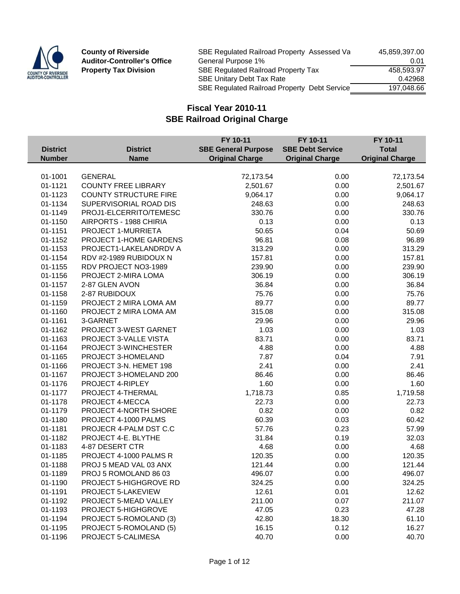

**County of Riverside Auditor-Controller's Office Property Tax Division** 

| SBE Regulated Railroad Property Assessed Va  | 45.859.397.00 |
|----------------------------------------------|---------------|
| General Purpose 1%                           | 0.01          |
| SBE Regulated Railroad Property Tax          | 458.593.97    |
| SBE Unitary Debt Tax Rate                    | 0.42968       |
| SBE Regulated Railroad Property Debt Service | 197.048.66    |

|                                  |                                | FY 10-11                   | FY 10-11                | FY 10-11                               |
|----------------------------------|--------------------------------|----------------------------|-------------------------|----------------------------------------|
| <b>District</b><br><b>Number</b> | <b>District</b><br><b>Name</b> | <b>SBE General Purpose</b> | <b>SBE Debt Service</b> | <b>Total</b><br><b>Original Charge</b> |
|                                  |                                | <b>Original Charge</b>     | <b>Original Charge</b>  |                                        |
| 01-1001                          | <b>GENERAL</b>                 | 72,173.54                  | 0.00                    | 72,173.54                              |
| 01-1121                          | <b>COUNTY FREE LIBRARY</b>     | 2,501.67                   | 0.00                    | 2,501.67                               |
| 01-1123                          | <b>COUNTY STRUCTURE FIRE</b>   | 9,064.17                   | 0.00                    | 9,064.17                               |
| 01-1134                          | SUPERVISORIAL ROAD DIS         | 248.63                     | 0.00                    | 248.63                                 |
| 01-1149                          | PROJ1-ELCERRITO/TEMESC         | 330.76                     | 0.00                    | 330.76                                 |
| 01-1150                          | AIRPORTS - 1988 CHIRIA         | 0.13                       | 0.00                    | 0.13                                   |
| 01-1151                          | PROJECT 1-MURRIETA             | 50.65                      | 0.04                    | 50.69                                  |
| 01-1152                          | PROJECT 1-HOME GARDENS         | 96.81                      | 0.08                    | 96.89                                  |
| 01-1153                          | PROJECT1-LAKELANDRDV A         | 313.29                     | 0.00                    | 313.29                                 |
| 01-1154                          | RDV #2-1989 RUBIDOUX N         | 157.81                     | 0.00                    | 157.81                                 |
| 01-1155                          | RDV PROJECT NO3-1989           | 239.90                     | 0.00                    | 239.90                                 |
| 01-1156                          | PROJECT 2-MIRA LOMA            | 306.19                     | 0.00                    | 306.19                                 |
| 01-1157                          | 2-87 GLEN AVON                 | 36.84                      | 0.00                    | 36.84                                  |
| 01-1158                          | 2-87 RUBIDOUX                  | 75.76                      | 0.00                    | 75.76                                  |
| 01-1159                          | PROJECT 2 MIRA LOMA AM         | 89.77                      | 0.00                    | 89.77                                  |
| 01-1160                          | PROJECT 2 MIRA LOMA AM         | 315.08                     | 0.00                    | 315.08                                 |
| 01-1161                          | 3-GARNET                       | 29.96                      | 0.00                    | 29.96                                  |
| 01-1162                          | PROJECT 3-WEST GARNET          | 1.03                       | 0.00                    | 1.03                                   |
| 01-1163                          | PROJECT 3-VALLE VISTA          | 83.71                      | 0.00                    | 83.71                                  |
| 01-1164                          | PROJECT 3-WINCHESTER           | 4.88                       | 0.00                    | 4.88                                   |
| 01-1165                          | PROJECT 3-HOMELAND             | 7.87                       | 0.04                    | 7.91                                   |
| 01-1166                          | PROJECT 3-N. HEMET 198         | 2.41                       | 0.00                    | 2.41                                   |
| 01-1167                          | PROJECT 3-HOMELAND 200         | 86.46                      | 0.00                    | 86.46                                  |
| 01-1176                          | PROJECT 4-RIPLEY               | 1.60                       | 0.00                    | 1.60                                   |
| 01-1177                          | PROJECT 4-THERMAL              | 1,718.73                   | 0.85                    | 1,719.58                               |
| 01-1178                          | PROJECT 4-MECCA                | 22.73                      | 0.00                    | 22.73                                  |
| 01-1179                          | PROJECT 4-NORTH SHORE          | 0.82                       | 0.00                    | 0.82                                   |
| 01-1180                          | PROJECT 4-1000 PALMS           | 60.39                      | 0.03                    | 60.42                                  |
| 01-1181                          | PROJECR 4-PALM DST C.C         | 57.76                      | 0.23                    | 57.99                                  |
| 01-1182                          | PROJECT 4-E. BLYTHE            | 31.84                      | 0.19                    | 32.03                                  |
| 01-1183                          | 4-87 DESERT CTR                | 4.68                       | 0.00                    | 4.68                                   |
| 01-1185                          | PROJECT 4-1000 PALMS R         | 120.35                     | 0.00                    | 120.35                                 |
| 01-1188                          | PROJ 5 MEAD VAL 03 ANX         | 121.44                     | 0.00                    | 121.44                                 |
| 01-1189                          | PROJ 5 ROMOLAND 86 03          | 496.07                     | 0.00                    | 496.07                                 |
| 01-1190                          | PROJECT 5-HIGHGROVE RD         | 324.25                     | 0.00                    | 324.25                                 |
| 01-1191                          | PROJECT 5-LAKEVIEW             | 12.61                      | 0.01                    | 12.62                                  |
| 01-1192                          | PROJECT 5-MEAD VALLEY          | 211.00                     | 0.07                    | 211.07                                 |
| 01-1193                          | PROJECT 5-HIGHGROVE            | 47.05                      | 0.23                    | 47.28                                  |
| 01-1194                          | PROJECT 5-ROMOLAND (3)         | 42.80                      | 18.30                   | 61.10                                  |
| 01-1195                          | PROJECT 5-ROMOLAND (5)         | 16.15                      | 0.12                    | 16.27                                  |
| 01-1196                          | PROJECT 5-CALIMESA             | 40.70                      | 0.00                    | 40.70                                  |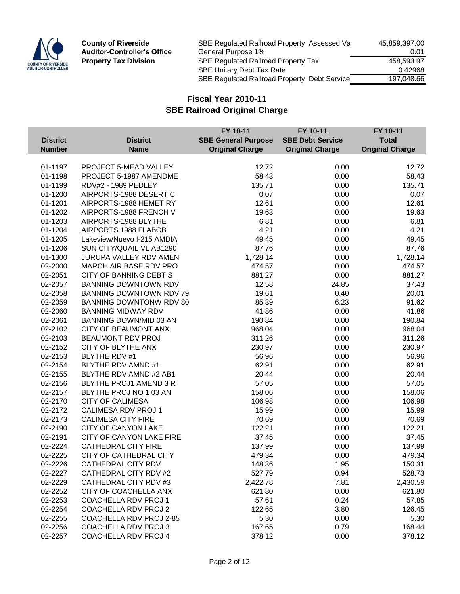

| SBE Regulated Railroad Property Assessed Va         | 45,859,397.00 |
|-----------------------------------------------------|---------------|
| General Purpose 1%                                  | 0.01          |
| SBE Regulated Railroad Property Tax                 | 458.593.97    |
| <b>SBE Unitary Debt Tax Rate</b>                    | 0.42968       |
| <b>SBE Regulated Railroad Property Debt Service</b> | 197.048.66    |
|                                                     |               |

|                 |                                | FY 10-11                   | FY 10-11                | FY 10-11               |
|-----------------|--------------------------------|----------------------------|-------------------------|------------------------|
| <b>District</b> | <b>District</b>                | <b>SBE General Purpose</b> | <b>SBE Debt Service</b> | <b>Total</b>           |
| <b>Number</b>   | <b>Name</b>                    | <b>Original Charge</b>     | <b>Original Charge</b>  | <b>Original Charge</b> |
|                 |                                |                            |                         |                        |
| 01-1197         | PROJECT 5-MEAD VALLEY          | 12.72                      | 0.00                    | 12.72                  |
| 01-1198         | PROJECT 5-1987 AMENDME         | 58.43                      | 0.00                    | 58.43                  |
| 01-1199         | <b>RDV#2 - 1989 PEDLEY</b>     | 135.71                     | 0.00                    | 135.71                 |
| 01-1200         | AIRPORTS-1988 DESERT C         | 0.07                       | 0.00                    | 0.07                   |
| 01-1201         | AIRPORTS-1988 HEMET RY         | 12.61                      | 0.00                    | 12.61                  |
| 01-1202         | AIRPORTS-1988 FRENCH V         | 19.63                      | 0.00                    | 19.63                  |
| 01-1203         | AIRPORTS-1988 BLYTHE           | 6.81                       | 0.00                    | 6.81                   |
| 01-1204         | AIRPORTS 1988 FLABOB           | 4.21                       | 0.00                    | 4.21                   |
| 01-1205         | Lakeview/Nuevo I-215 AMDIA     | 49.45                      | 0.00                    | 49.45                  |
| 01-1206         | SUN CITY/QUAIL VL AB1290       | 87.76                      | 0.00                    | 87.76                  |
| 01-1300         | <b>JURUPA VALLEY RDV AMEN</b>  | 1,728.14                   | 0.00                    | 1,728.14               |
| 02-2000         | MARCH AIR BASE RDV PRO         | 474.57                     | 0.00                    | 474.57                 |
| 02-2051         | <b>CITY OF BANNING DEBT S</b>  | 881.27                     | 0.00                    | 881.27                 |
| 02-2057         | <b>BANNING DOWNTOWN RDV</b>    | 12.58                      | 24.85                   | 37.43                  |
| 02-2058         | <b>BANNING DOWNTOWN RDV 79</b> | 19.61                      | 0.40                    | 20.01                  |
| 02-2059         | <b>BANNING DOWNTONW RDV 80</b> | 85.39                      | 6.23                    | 91.62                  |
| 02-2060         | <b>BANNING MIDWAY RDV</b>      | 41.86                      | 0.00                    | 41.86                  |
| 02-2061         | BANNING DOWN/MID 03 AN         | 190.84                     | 0.00                    | 190.84                 |
| 02-2102         | <b>CITY OF BEAUMONT ANX</b>    | 968.04                     | 0.00                    | 968.04                 |
| 02-2103         | BEAUMONT RDV PROJ              | 311.26                     | 0.00                    | 311.26                 |
| 02-2152         | CITY OF BLYTHE ANX             | 230.97                     | 0.00                    | 230.97                 |
| 02-2153         | <b>BLYTHE RDV #1</b>           | 56.96                      | 0.00                    | 56.96                  |
| 02-2154         | BLYTHE RDV AMND #1             | 62.91                      | 0.00                    | 62.91                  |
| 02-2155         | BLYTHE RDV AMND #2 AB1         | 20.44                      | 0.00                    | 20.44                  |
| 02-2156         | BLYTHE PROJ1 AMEND 3 R         | 57.05                      | 0.00                    | 57.05                  |
| 02-2157         | BLYTHE PROJ NO 1 03 AN         | 158.06                     | 0.00                    | 158.06                 |
| 02-2170         | <b>CITY OF CALIMESA</b>        | 106.98                     | 0.00                    | 106.98                 |
| 02-2172         | CALIMESA RDV PROJ 1            | 15.99                      | 0.00                    | 15.99                  |
| 02-2173         | <b>CALIMESA CITY FIRE</b>      | 70.69                      | 0.00                    | 70.69                  |
| 02-2190         | <b>CITY OF CANYON LAKE</b>     | 122.21                     | 0.00                    | 122.21                 |
| 02-2191         | CITY OF CANYON LAKE FIRE       | 37.45                      | 0.00                    | 37.45                  |
| 02-2224         | <b>CATHEDRAL CITY FIRE</b>     | 137.99                     | 0.00                    | 137.99                 |
| 02-2225         | <b>CITY OF CATHEDRAL CITY</b>  | 479.34                     | 0.00                    | 479.34                 |
| 02-2226         | CATHEDRAL CITY RDV             | 148.36                     | 1.95                    | 150.31                 |
| 02-2227         | CATHEDRAL CITY RDV #2          | 527.79                     | 0.94                    | 528.73                 |
| 02-2229         | CATHEDRAL CITY RDV #3          | 2,422.78                   | 7.81                    | 2,430.59               |
| 02-2252         | CITY OF COACHELLA ANX          | 621.80                     | 0.00                    | 621.80                 |
| 02-2253         | <b>COACHELLA RDV PROJ1</b>     | 57.61                      | 0.24                    | 57.85                  |
| 02-2254         | <b>COACHELLA RDV PROJ 2</b>    | 122.65                     | 3.80                    | 126.45                 |
| 02-2255         | COACHELLA RDV PROJ 2-85        | 5.30                       | 0.00                    | 5.30                   |
| 02-2256         | <b>COACHELLA RDV PROJ 3</b>    | 167.65                     | 0.79                    | 168.44                 |
| 02-2257         | COACHELLA RDV PROJ 4           | 378.12                     | 0.00                    | 378.12                 |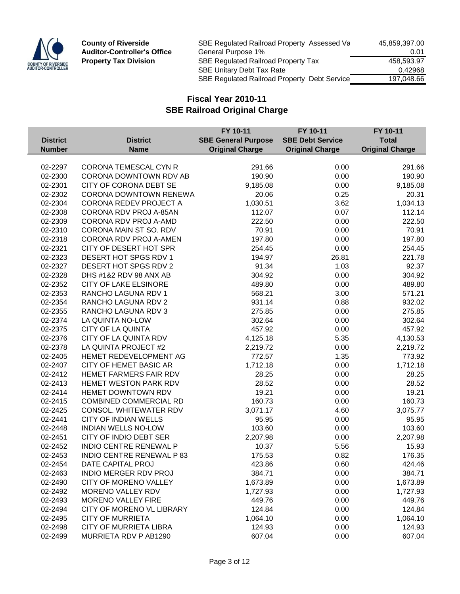

| SBE Regulated Railroad Property Assessed Va         | 45,859,397.00 |
|-----------------------------------------------------|---------------|
| General Purpose 1%                                  | 0.01          |
| <b>SBE Regulated Railroad Property Tax</b>          | 458.593.97    |
| <b>SBE Unitary Debt Tax Rate</b>                    | 0.42968       |
| <b>SBE Regulated Railroad Property Debt Service</b> | 197.048.66    |
|                                                     |               |

|                 |                                  | FY 10-11                   | FY 10-11                | FY 10-11               |
|-----------------|----------------------------------|----------------------------|-------------------------|------------------------|
| <b>District</b> | <b>District</b>                  | <b>SBE General Purpose</b> | <b>SBE Debt Service</b> | <b>Total</b>           |
| <b>Number</b>   | <b>Name</b>                      | <b>Original Charge</b>     | <b>Original Charge</b>  | <b>Original Charge</b> |
|                 |                                  |                            |                         |                        |
| 02-2297         | <b>CORONA TEMESCAL CYN R</b>     | 291.66                     | 0.00                    | 291.66                 |
| 02-2300         | CORONA DOWNTOWN RDV AB           | 190.90                     | 0.00                    | 190.90                 |
| 02-2301         | CITY OF CORONA DEBT SE           | 9,185.08                   | 0.00                    | 9,185.08               |
| 02-2302         | <b>CORONA DOWNTOWN RENEWA</b>    | 20.06                      | 0.25                    | 20.31                  |
| 02-2304         | CORONA REDEV PROJECT A           | 1,030.51                   | 3.62                    | 1,034.13               |
| 02-2308         | CORONA RDV PROJ A-85AN           | 112.07                     | 0.07                    | 112.14                 |
| 02-2309         | CORONA RDV PROJ A-AMD            | 222.50                     | 0.00                    | 222.50                 |
| 02-2310         | CORONA MAIN ST SO. RDV           | 70.91                      | 0.00                    | 70.91                  |
| 02-2318         | CORONA RDV PROJ A-AMEN           | 197.80                     | 0.00                    | 197.80                 |
| 02-2321         | CITY OF DESERT HOT SPR           | 254.45                     | 0.00                    | 254.45                 |
| 02-2323         | DESERT HOT SPGS RDV 1            | 194.97                     | 26.81                   | 221.78                 |
| 02-2327         | DESERT HOT SPGS RDV 2            | 91.34                      | 1.03                    | 92.37                  |
| 02-2328         | DHS #1&2 RDV 98 ANX AB           | 304.92                     | 0.00                    | 304.92                 |
| 02-2352         | <b>CITY OF LAKE ELSINORE</b>     | 489.80                     | 0.00                    | 489.80                 |
| 02-2353         | RANCHO LAGUNA RDV 1              | 568.21                     | 3.00                    | 571.21                 |
| 02-2354         | RANCHO LAGUNA RDV 2              | 931.14                     | 0.88                    | 932.02                 |
| 02-2355         | RANCHO LAGUNA RDV 3              | 275.85                     | 0.00                    | 275.85                 |
| 02-2374         | LA QUINTA NO-LOW                 | 302.64                     | 0.00                    | 302.64                 |
| 02-2375         | CITY OF LA QUINTA                | 457.92                     | 0.00                    | 457.92                 |
| 02-2376         | CITY OF LA QUINTA RDV            | 4,125.18                   | 5.35                    | 4,130.53               |
| 02-2378         | LA QUINTA PROJECT #2             | 2,219.72                   | 0.00                    | 2,219.72               |
| 02-2405         | HEMET REDEVELOPMENT AG           | 772.57                     | 1.35                    | 773.92                 |
| 02-2407         | CITY OF HEMET BASIC AR           | 1,712.18                   | 0.00                    | 1,712.18               |
| 02-2412         | HEMET FARMERS FAIR RDV           | 28.25                      | 0.00                    | 28.25                  |
| 02-2413         | <b>HEMET WESTON PARK RDV</b>     | 28.52                      | 0.00                    | 28.52                  |
| 02-2414         | <b>HEMET DOWNTOWN RDV</b>        | 19.21                      | 0.00                    | 19.21                  |
| 02-2415         | <b>COMBINED COMMERCIAL RD</b>    | 160.73                     | 0.00                    | 160.73                 |
| 02-2425         | <b>CONSOL. WHITEWATER RDV</b>    | 3,071.17                   | 4.60                    | 3,075.77               |
| 02-2441         | <b>CITY OF INDIAN WELLS</b>      | 95.95                      | 0.00                    | 95.95                  |
| 02-2448         | <b>INDIAN WELLS NO-LOW</b>       | 103.60                     | 0.00                    | 103.60                 |
| 02-2451         | CITY OF INDIO DEBT SER           | 2,207.98                   | 0.00                    | 2,207.98               |
| 02-2452         | INDIO CENTRE RENEWAL P           | 10.37                      | 5.56                    | 15.93                  |
| 02-2453         | <b>INDIO CENTRE RENEWAL P 83</b> | 175.53                     | 0.82                    | 176.35                 |
| 02-2454         | DATE CAPITAL PROJ                | 423.86                     | 0.60                    | 424.46                 |
| 02-2463         | <b>INDIO MERGER RDV PROJ</b>     | 384.71                     | 0.00                    | 384.71                 |
| 02-2490         | CITY OF MORENO VALLEY            | 1,673.89                   | 0.00                    | 1,673.89               |
| 02-2492         | <b>MORENO VALLEY RDV</b>         | 1,727.93                   | 0.00                    | 1,727.93               |
| 02-2493         | <b>MORENO VALLEY FIRE</b>        | 449.76                     | 0.00                    | 449.76                 |
| 02-2494         | CITY OF MORENO VL LIBRARY        | 124.84                     | 0.00                    | 124.84                 |
| 02-2495         | <b>CITY OF MURRIETA</b>          | 1,064.10                   | 0.00                    | 1,064.10               |
| 02-2498         | <b>CITY OF MURRIETA LIBRA</b>    | 124.93                     | 0.00                    | 124.93                 |
| 02-2499         | MURRIETA RDV P AB1290            | 607.04                     | 0.00                    | 607.04                 |
|                 |                                  |                            |                         |                        |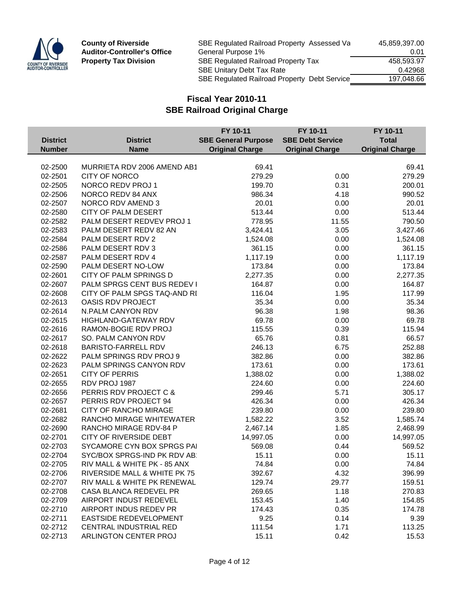

| SBE Regulated Railroad Property Assessed Va  | 45,859,397.00 |
|----------------------------------------------|---------------|
| General Purpose 1%                           | 0.01          |
| <b>SBE Regulated Railroad Property Tax</b>   | 458.593.97    |
| <b>SBE Unitary Debt Tax Rate</b>             | 0.42968       |
| SBE Regulated Railroad Property Debt Service | 197.048.66    |
|                                              |               |

|                 |                               | FY 10-11                   | FY 10-11                | FY 10-11               |
|-----------------|-------------------------------|----------------------------|-------------------------|------------------------|
| <b>District</b> | <b>District</b>               | <b>SBE General Purpose</b> | <b>SBE Debt Service</b> | <b>Total</b>           |
| <b>Number</b>   | <b>Name</b>                   | <b>Original Charge</b>     | <b>Original Charge</b>  | <b>Original Charge</b> |
|                 |                               |                            |                         |                        |
| 02-2500         | MURRIETA RDV 2006 AMEND AB1   | 69.41                      |                         | 69.41                  |
| 02-2501         | <b>CITY OF NORCO</b>          | 279.29                     | 0.00                    | 279.29                 |
| 02-2505         | NORCO REDV PROJ 1             | 199.70                     | 0.31                    | 200.01                 |
| 02-2506         | NORCO REDV 84 ANX             | 986.34                     | 4.18                    | 990.52                 |
| 02-2507         | NORCO RDV AMEND 3             | 20.01                      | 0.00                    | 20.01                  |
| 02-2580         | <b>CITY OF PALM DESERT</b>    | 513.44                     | 0.00                    | 513.44                 |
| 02-2582         | PALM DESERT REDVEV PROJ 1     | 778.95                     | 11.55                   | 790.50                 |
| 02-2583         | PALM DESERT REDV 82 AN        | 3,424.41                   | 3.05                    | 3,427.46               |
| 02-2584         | PALM DESERT RDV 2             | 1,524.08                   | 0.00                    | 1,524.08               |
| 02-2586         | PALM DESERT RDV 3             | 361.15                     | 0.00                    | 361.15                 |
| 02-2587         | PALM DESERT RDV 4             | 1,117.19                   | 0.00                    | 1,117.19               |
| 02-2590         | PALM DESERT NO-LOW            | 173.84                     | 0.00                    | 173.84                 |
| 02-2601         | CITY OF PALM SPRINGS D        | 2,277.35                   | 0.00                    | 2,277.35               |
| 02-2607         | PALM SPRGS CENT BUS REDEV I   | 164.87                     | 0.00                    | 164.87                 |
| 02-2608         | CITY OF PALM SPGS TAQ-AND RI  | 116.04                     | 1.95                    | 117.99                 |
| 02-2613         | <b>OASIS RDV PROJECT</b>      | 35.34                      | 0.00                    | 35.34                  |
| 02-2614         | N.PALM CANYON RDV             | 96.38                      | 1.98                    | 98.36                  |
| 02-2615         | HIGHLAND-GATEWAY RDV          | 69.78                      | 0.00                    | 69.78                  |
| 02-2616         | RAMON-BOGIE RDV PROJ          | 115.55                     | 0.39                    | 115.94                 |
| 02-2617         | SO. PALM CANYON RDV           | 65.76                      | 0.81                    | 66.57                  |
| 02-2618         | <b>BARISTO-FARRELL RDV</b>    | 246.13                     | 6.75                    | 252.88                 |
| 02-2622         | PALM SPRINGS RDV PROJ 9       | 382.86                     | 0.00                    | 382.86                 |
| 02-2623         | PALM SPRINGS CANYON RDV       | 173.61                     | 0.00                    | 173.61                 |
| 02-2651         | <b>CITY OF PERRIS</b>         | 1,388.02                   | 0.00                    | 1,388.02               |
| 02-2655         | RDV PROJ 1987                 | 224.60                     | 0.00                    | 224.60                 |
| 02-2656         | PERRIS RDV PROJECT C &        | 299.46                     | 5.71                    | 305.17                 |
| 02-2657         | PERRIS RDV PROJECT 94         | 426.34                     | 0.00                    | 426.34                 |
| 02-2681         | <b>CITY OF RANCHO MIRAGE</b>  | 239.80                     | 0.00                    | 239.80                 |
| 02-2682         | RANCHO MIRAGE WHITEWATER      | 1,582.22                   | 3.52                    | 1,585.74               |
| 02-2690         | RANCHO MIRAGE RDV-84 P        | 2,467.14                   | 1.85                    | 2,468.99               |
| 02-2701         | <b>CITY OF RIVERSIDE DEBT</b> | 14,997.05                  | 0.00                    | 14,997.05              |
| 02-2703         | SYCAMORE CYN BOX SPRGS PAI    | 569.08                     | 0.44                    | 569.52                 |
| 02-2704         | SYC/BOX SPRGS-IND PK RDV AB   | 15.11                      | 0.00                    | 15.11                  |
| 02-2705         | RIV MALL & WHITE PK - 85 ANX  | 74.84                      | 0.00                    | 74.84                  |
| 02-2706         | RIVERSIDE MALL & WHITE PK 75  | 392.67                     | 4.32                    | 396.99                 |
| 02-2707         | RIV MALL & WHITE PK RENEWAL   | 129.74                     | 29.77                   | 159.51                 |
| 02-2708         | CASA BLANCA REDEVEL PR        | 269.65                     | 1.18                    | 270.83                 |
| 02-2709         | AIRPORT INDUST REDEVEL        | 153.45                     | 1.40                    | 154.85                 |
| 02-2710         | AIRPORT INDUS REDEV PR        | 174.43                     | 0.35                    | 174.78                 |
| 02-2711         | EASTSIDE REDEVELOPMENT        | 9.25                       | 0.14                    | 9.39                   |
| 02-2712         | <b>CENTRAL INDUSTRIAL RED</b> | 111.54                     | 1.71                    | 113.25                 |
| 02-2713         | ARLINGTON CENTER PROJ         | 15.11                      | 0.42                    | 15.53                  |
|                 |                               |                            |                         |                        |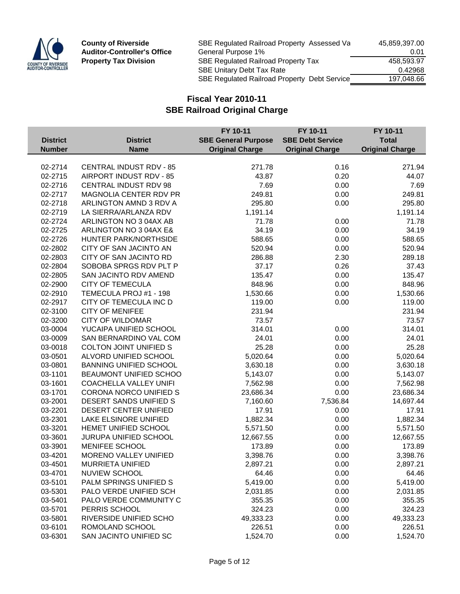

| SBE Regulated Railroad Property Assessed Va  | 45,859,397.00 |
|----------------------------------------------|---------------|
| General Purpose 1%                           | 0.01          |
| <b>SBE Regulated Railroad Property Tax</b>   | 458.593.97    |
| <b>SBE Unitary Debt Tax Rate</b>             | 0.42968       |
| SBE Regulated Railroad Property Debt Service | 197.048.66    |
|                                              |               |

|                 |                                | FY 10-11                   | FY 10-11                | FY 10-11               |
|-----------------|--------------------------------|----------------------------|-------------------------|------------------------|
| <b>District</b> | <b>District</b>                | <b>SBE General Purpose</b> | <b>SBE Debt Service</b> | <b>Total</b>           |
| <b>Number</b>   | <b>Name</b>                    | <b>Original Charge</b>     | <b>Original Charge</b>  | <b>Original Charge</b> |
|                 |                                |                            |                         |                        |
| 02-2714         | <b>CENTRAL INDUST RDV - 85</b> | 271.78                     | 0.16                    | 271.94                 |
| 02-2715         | AIRPORT INDUST RDV - 85        | 43.87                      | 0.20                    | 44.07                  |
| 02-2716         | CENTRAL INDUST RDV 98          | 7.69                       | 0.00                    | 7.69                   |
| 02-2717         | MAGNOLIA CENTER RDV PR         | 249.81                     | 0.00                    | 249.81                 |
| 02-2718         | ARLINGTON AMND 3 RDV A         | 295.80                     | 0.00                    | 295.80                 |
| 02-2719         | LA SIERRA/ARLANZA RDV          | 1,191.14                   |                         | 1,191.14               |
| 02-2724         | ARLINGTON NO 3 04AX AB         | 71.78                      | 0.00                    | 71.78                  |
| 02-2725         | ARLINGTON NO 3 04AX E&         | 34.19                      | 0.00                    | 34.19                  |
| 02-2726         | HUNTER PARK/NORTHSIDE          | 588.65                     | 0.00                    | 588.65                 |
| 02-2802         | CITY OF SAN JACINTO AN         | 520.94                     | 0.00                    | 520.94                 |
| 02-2803         | CITY OF SAN JACINTO RD         | 286.88                     | 2.30                    | 289.18                 |
| 02-2804         | SOBOBA SPRGS RDV PLT P         | 37.17                      | 0.26                    | 37.43                  |
| 02-2805         | SAN JACINTO RDV AMEND          | 135.47                     | 0.00                    | 135.47                 |
| 02-2900         | <b>CITY OF TEMECULA</b>        | 848.96                     | 0.00                    | 848.96                 |
| 02-2910         | TEMECULA PROJ #1 - 198         | 1,530.66                   | 0.00                    | 1,530.66               |
| 02-2917         | CITY OF TEMECULA INC D         | 119.00                     | 0.00                    | 119.00                 |
| 02-3100         | <b>CITY OF MENIFEE</b>         | 231.94                     |                         | 231.94                 |
| 02-3200         | <b>CITY OF WILDOMAR</b>        | 73.57                      |                         | 73.57                  |
| 03-0004         | YUCAIPA UNIFIED SCHOOL         | 314.01                     | 0.00                    | 314.01                 |
| 03-0009         | SAN BERNARDINO VAL COM         | 24.01                      | 0.00                    | 24.01                  |
| 03-0018         | <b>COLTON JOINT UNIFIED S</b>  | 25.28                      | 0.00                    | 25.28                  |
| 03-0501         | ALVORD UNIFIED SCHOOL          | 5,020.64                   | 0.00                    | 5,020.64               |
| 03-0801         | <b>BANNING UNIFIED SCHOOL</b>  | 3,630.18                   | 0.00                    | 3,630.18               |
| 03-1101         | BEAUMONT UNIFIED SCHOO         | 5,143.07                   | 0.00                    | 5,143.07               |
| 03-1601         | <b>COACHELLA VALLEY UNIFI</b>  | 7,562.98                   | 0.00                    | 7,562.98               |
| 03-1701         | CORONA NORCO UNIFIED S         | 23,686.34                  | 0.00                    | 23,686.34              |
| 03-2001         | DESERT SANDS UNIFIED S         | 7,160.60                   | 7,536.84                | 14,697.44              |
| 03-2201         | DESERT CENTER UNIFIED          | 17.91                      | 0.00                    | 17.91                  |
| 03-2301         | LAKE ELSINORE UNIFIED          | 1,882.34                   | 0.00                    | 1,882.34               |
| 03-3201         | HEMET UNIFIED SCHOOL           | 5,571.50                   | 0.00                    | 5,571.50               |
| 03-3601         | JURUPA UNIFIED SCHOOL          | 12,667.55                  | 0.00                    | 12,667.55              |
| 03-3901         | <b>MENIFEE SCHOOL</b>          | 173.89                     | 0.00                    | 173.89                 |
| 03-4201         | MORENO VALLEY UNIFIED          | 3,398.76                   | 0.00                    | 3,398.76               |
| 03-4501         | MURRIETA UNIFIED               | 2,897.21                   | 0.00                    | 2,897.21               |
| 03-4701         | <b>NUVIEW SCHOOL</b>           | 64.46                      | 0.00                    | 64.46                  |
| 03-5101         | PALM SPRINGS UNIFIED S         | 5,419.00                   | 0.00                    | 5,419.00               |
| 03-5301         | PALO VERDE UNIFIED SCH         | 2,031.85                   | 0.00                    | 2,031.85               |
| 03-5401         | PALO VERDE COMMUNITY C         | 355.35                     | 0.00                    | 355.35                 |
| 03-5701         | PERRIS SCHOOL                  | 324.23                     | 0.00                    | 324.23                 |
| 03-5801         | RIVERSIDE UNIFIED SCHO         | 49,333.23                  | 0.00                    | 49,333.23              |
| 03-6101         | ROMOLAND SCHOOL                | 226.51                     | 0.00                    | 226.51                 |
| 03-6301         | SAN JACINTO UNIFIED SC         | 1,524.70                   | 0.00                    | 1,524.70               |
|                 |                                |                            |                         |                        |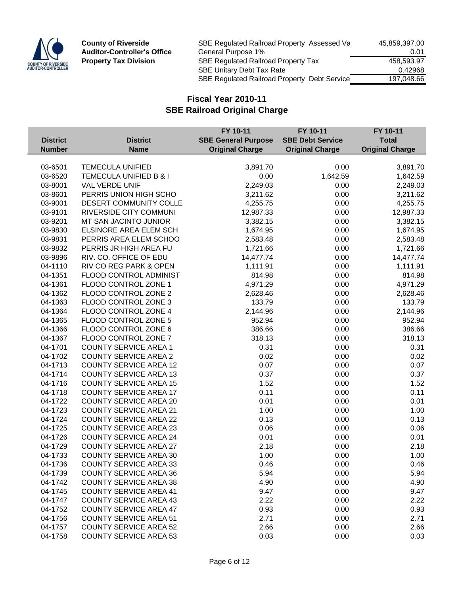

| SBE Regulated Railroad Property Assessed Va  | 45,859,397.00 |
|----------------------------------------------|---------------|
| General Purpose 1%                           | 0.01          |
| <b>SBE Regulated Railroad Property Tax</b>   | 458.593.97    |
| <b>SBE Unitary Debt Tax Rate</b>             | 0.42968       |
| SBE Regulated Railroad Property Debt Service | 197.048.66    |
|                                              |               |

|                 |                               | FY 10-11                   | FY 10-11                | FY 10-11               |
|-----------------|-------------------------------|----------------------------|-------------------------|------------------------|
| <b>District</b> | <b>District</b>               | <b>SBE General Purpose</b> | <b>SBE Debt Service</b> | <b>Total</b>           |
| <b>Number</b>   | <b>Name</b>                   | <b>Original Charge</b>     | <b>Original Charge</b>  | <b>Original Charge</b> |
|                 |                               |                            |                         |                        |
| 03-6501         | <b>TEMECULA UNIFIED</b>       | 3,891.70                   | 0.00                    | 3,891.70               |
| 03-6520         | TEMECULA UNIFIED B & I        | 0.00                       | 1,642.59                | 1,642.59               |
| 03-8001         | VAL VERDE UNIF                | 2,249.03                   | 0.00                    | 2,249.03               |
| 03-8601         | PERRIS UNION HIGH SCHO        | 3,211.62                   | 0.00                    | 3,211.62               |
| 03-9001         | DESERT COMMUNITY COLLE        | 4,255.75                   | 0.00                    | 4,255.75               |
| 03-9101         | <b>RIVERSIDE CITY COMMUNI</b> | 12,987.33                  | 0.00                    | 12,987.33              |
| 03-9201         | MT SAN JACINTO JUNIOR         | 3,382.15                   | 0.00                    | 3,382.15               |
| 03-9830         | ELSINORE AREA ELEM SCH        | 1,674.95                   | 0.00                    | 1,674.95               |
| 03-9831         | PERRIS AREA ELEM SCHOO        | 2,583.48                   | 0.00                    | 2,583.48               |
| 03-9832         | PERRIS JR HIGH AREA FU        | 1,721.66                   | 0.00                    | 1,721.66               |
| 03-9896         | RIV. CO. OFFICE OF EDU        | 14,477.74                  | 0.00                    | 14,477.74              |
| 04-1110         | RIV CO REG PARK & OPEN        | 1,111.91                   | 0.00                    | 1,111.91               |
| 04-1351         | FLOOD CONTROL ADMINIST        | 814.98                     | 0.00                    | 814.98                 |
| 04-1361         | FLOOD CONTROL ZONE 1          | 4,971.29                   | 0.00                    | 4,971.29               |
| 04-1362         | FLOOD CONTROL ZONE 2          | 2,628.46                   | 0.00                    | 2,628.46               |
| 04-1363         | FLOOD CONTROL ZONE 3          | 133.79                     | 0.00                    | 133.79                 |
| 04-1364         | FLOOD CONTROL ZONE 4          | 2,144.96                   | 0.00                    | 2,144.96               |
| 04-1365         | FLOOD CONTROL ZONE 5          | 952.94                     | 0.00                    | 952.94                 |
| 04-1366         | FLOOD CONTROL ZONE 6          | 386.66                     | 0.00                    | 386.66                 |
| 04-1367         | FLOOD CONTROL ZONE 7          | 318.13                     | 0.00                    | 318.13                 |
| 04-1701         | <b>COUNTY SERVICE AREA 1</b>  | 0.31                       | 0.00                    | 0.31                   |
| 04-1702         | <b>COUNTY SERVICE AREA 2</b>  | 0.02                       | 0.00                    | 0.02                   |
| 04-1713         | <b>COUNTY SERVICE AREA 12</b> | 0.07                       | 0.00                    | 0.07                   |
| 04-1714         | <b>COUNTY SERVICE AREA 13</b> | 0.37                       | 0.00                    | 0.37                   |
| 04-1716         | <b>COUNTY SERVICE AREA 15</b> | 1.52                       | 0.00                    | 1.52                   |
| 04-1718         | <b>COUNTY SERVICE AREA 17</b> | 0.11                       | 0.00                    | 0.11                   |
| 04-1722         | <b>COUNTY SERVICE AREA 20</b> | 0.01                       | 0.00                    | 0.01                   |
| 04-1723         | <b>COUNTY SERVICE AREA 21</b> | 1.00                       | 0.00                    | 1.00                   |
| 04-1724         | <b>COUNTY SERVICE AREA 22</b> | 0.13                       | 0.00                    | 0.13                   |
| 04-1725         | <b>COUNTY SERVICE AREA 23</b> | 0.06                       | 0.00                    | 0.06                   |
| 04-1726         | <b>COUNTY SERVICE AREA 24</b> | 0.01                       | 0.00                    | 0.01                   |
| 04-1729         | <b>COUNTY SERVICE AREA 27</b> | 2.18                       | 0.00                    | 2.18                   |
| 04-1733         | <b>COUNTY SERVICE AREA 30</b> | 1.00                       | 0.00                    | 1.00                   |
| 04-1736         | <b>COUNTY SERVICE AREA 33</b> | 0.46                       | 0.00                    | 0.46                   |
| 04-1739         | <b>COUNTY SERVICE AREA 36</b> | 5.94                       | 0.00                    | 5.94                   |
| 04-1742         | <b>COUNTY SERVICE AREA 38</b> | 4.90                       | 0.00                    | 4.90                   |
| 04-1745         | <b>COUNTY SERVICE AREA 41</b> | 9.47                       | 0.00                    | 9.47                   |
| 04-1747         | <b>COUNTY SERVICE AREA 43</b> | 2.22                       | 0.00                    | 2.22                   |
| 04-1752         | <b>COUNTY SERVICE AREA 47</b> | 0.93                       | 0.00                    | 0.93                   |
| 04-1756         | <b>COUNTY SERVICE AREA 51</b> | 2.71                       | 0.00                    | 2.71                   |
| 04-1757         | <b>COUNTY SERVICE AREA 52</b> | 2.66                       | 0.00                    | 2.66                   |
| 04-1758         | <b>COUNTY SERVICE AREA 53</b> | 0.03                       | 0.00                    | 0.03                   |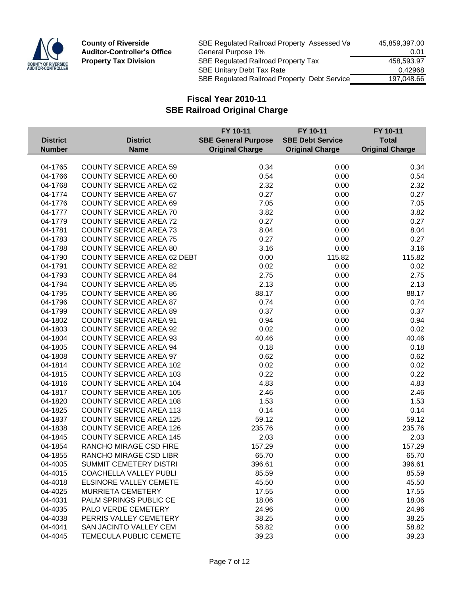

| SBE Regulated Railroad Property Assessed Va  | 45,859,397.00 |
|----------------------------------------------|---------------|
| General Purpose 1%                           | 0.01          |
| <b>SBE Regulated Railroad Property Tax</b>   | 458.593.97    |
| <b>SBE Unitary Debt Tax Rate</b>             | 0.42968       |
| SBE Regulated Railroad Property Debt Service | 197.048.66    |
|                                              |               |

|                 |                                    | FY 10-11                   | FY 10-11                | FY 10-11               |
|-----------------|------------------------------------|----------------------------|-------------------------|------------------------|
| <b>District</b> | <b>District</b>                    | <b>SBE General Purpose</b> | <b>SBE Debt Service</b> | <b>Total</b>           |
| <b>Number</b>   | <b>Name</b>                        | <b>Original Charge</b>     | <b>Original Charge</b>  | <b>Original Charge</b> |
|                 |                                    |                            |                         |                        |
| 04-1765         | <b>COUNTY SERVICE AREA 59</b>      | 0.34                       | 0.00                    | 0.34                   |
| 04-1766         | <b>COUNTY SERVICE AREA 60</b>      | 0.54                       | 0.00                    | 0.54                   |
| 04-1768         | <b>COUNTY SERVICE AREA 62</b>      | 2.32                       | 0.00                    | 2.32                   |
| 04-1774         | <b>COUNTY SERVICE AREA 67</b>      | 0.27                       | 0.00                    | 0.27                   |
| 04-1776         | <b>COUNTY SERVICE AREA 69</b>      | 7.05                       | 0.00                    | 7.05                   |
| 04-1777         | <b>COUNTY SERVICE AREA 70</b>      | 3.82                       | 0.00                    | 3.82                   |
| 04-1779         | <b>COUNTY SERVICE AREA 72</b>      | 0.27                       | 0.00                    | 0.27                   |
| 04-1781         | <b>COUNTY SERVICE AREA 73</b>      | 8.04                       | 0.00                    | 8.04                   |
| 04-1783         | <b>COUNTY SERVICE AREA 75</b>      | 0.27                       | 0.00                    | 0.27                   |
| 04-1788         | <b>COUNTY SERVICE AREA 80</b>      | 3.16                       | 0.00                    | 3.16                   |
| 04-1790         | <b>COUNTY SERVICE AREA 62 DEBT</b> | 0.00                       | 115.82                  | 115.82                 |
| 04-1791         | <b>COUNTY SERVICE AREA 82</b>      | 0.02                       | 0.00                    | 0.02                   |
| 04-1793         | <b>COUNTY SERVICE AREA 84</b>      | 2.75                       | 0.00                    | 2.75                   |
| 04-1794         | <b>COUNTY SERVICE AREA 85</b>      | 2.13                       | 0.00                    | 2.13                   |
| 04-1795         | <b>COUNTY SERVICE AREA 86</b>      | 88.17                      | 0.00                    | 88.17                  |
| 04-1796         | <b>COUNTY SERVICE AREA 87</b>      | 0.74                       | 0.00                    | 0.74                   |
| 04-1799         | <b>COUNTY SERVICE AREA 89</b>      | 0.37                       | 0.00                    | 0.37                   |
| 04-1802         | <b>COUNTY SERVICE AREA 91</b>      | 0.94                       | 0.00                    | 0.94                   |
| 04-1803         | <b>COUNTY SERVICE AREA 92</b>      | 0.02                       | 0.00                    | 0.02                   |
| 04-1804         | <b>COUNTY SERVICE AREA 93</b>      | 40.46                      | 0.00                    | 40.46                  |
| 04-1805         | <b>COUNTY SERVICE AREA 94</b>      | 0.18                       | 0.00                    | 0.18                   |
| 04-1808         | <b>COUNTY SERVICE AREA 97</b>      | 0.62                       | 0.00                    | 0.62                   |
| 04-1814         | <b>COUNTY SERVICE AREA 102</b>     | 0.02                       | 0.00                    | 0.02                   |
| 04-1815         | <b>COUNTY SERVICE AREA 103</b>     | 0.22                       | 0.00                    | 0.22                   |
| 04-1816         | <b>COUNTY SERVICE AREA 104</b>     | 4.83                       | 0.00                    | 4.83                   |
| 04-1817         | <b>COUNTY SERVICE AREA 105</b>     | 2.46                       | 0.00                    | 2.46                   |
| 04-1820         | <b>COUNTY SERVICE AREA 108</b>     | 1.53                       | 0.00                    | 1.53                   |
| 04-1825         | <b>COUNTY SERVICE AREA 113</b>     | 0.14                       | 0.00                    | 0.14                   |
| 04-1837         | <b>COUNTY SERVICE AREA 125</b>     | 59.12                      | 0.00                    | 59.12                  |
| 04-1838         | <b>COUNTY SERVICE AREA 126</b>     | 235.76                     | 0.00                    | 235.76                 |
| 04-1845         | <b>COUNTY SERVICE AREA 145</b>     | 2.03                       | 0.00                    | 2.03                   |
| 04-1854         | RANCHO MIRAGE CSD FIRE             | 157.29                     | 0.00                    | 157.29                 |
| 04-1855         | RANCHO MIRAGE CSD LIBR             | 65.70                      | 0.00                    | 65.70                  |
| 04-4005         | SUMMIT CEMETERY DISTRI             | 396.61                     | 0.00                    | 396.61                 |
| 04-4015         | <b>COACHELLA VALLEY PUBLI</b>      | 85.59                      | 0.00                    | 85.59                  |
| 04-4018         | <b>ELSINORE VALLEY CEMETE</b>      | 45.50                      | 0.00                    | 45.50                  |
| 04-4025         | <b>MURRIETA CEMETERY</b>           | 17.55                      | 0.00                    | 17.55                  |
| 04-4031         | PALM SPRINGS PUBLIC CE             | 18.06                      | 0.00                    | 18.06                  |
| 04-4035         | <b>PALO VERDE CEMETERY</b>         | 24.96                      | 0.00                    | 24.96                  |
| 04-4038         | PERRIS VALLEY CEMETERY             | 38.25                      | 0.00                    | 38.25                  |
| 04-4041         | SAN JACINTO VALLEY CEM             | 58.82                      | 0.00                    | 58.82                  |
| 04-4045         | TEMECULA PUBLIC CEMETE             | 39.23                      | 0.00                    | 39.23                  |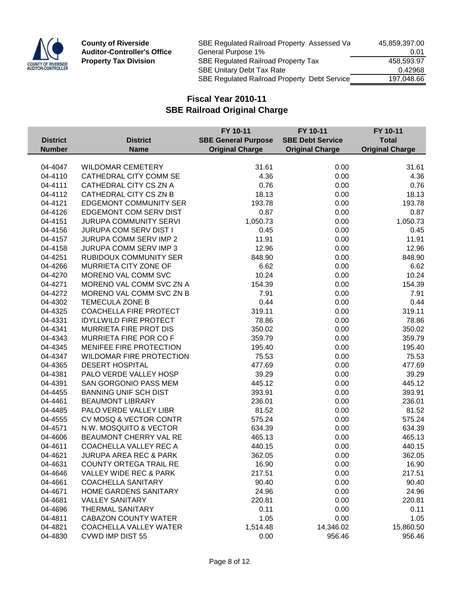

| SBE Regulated Railroad Property Assessed Va         | 45,859,397.00 |
|-----------------------------------------------------|---------------|
| General Purpose 1%                                  | 0.01          |
| SBE Regulated Railroad Property Tax                 | 458.593.97    |
| <b>SBE Unitary Debt Tax Rate</b>                    | 0.42968       |
| <b>SBE Regulated Railroad Property Debt Service</b> | 197.048.66    |
|                                                     |               |

|                 |                                   | FY 10-11                   | FY 10-11                | FY 10-11               |
|-----------------|-----------------------------------|----------------------------|-------------------------|------------------------|
| <b>District</b> | <b>District</b>                   | <b>SBE General Purpose</b> | <b>SBE Debt Service</b> | <b>Total</b>           |
| <b>Number</b>   | <b>Name</b>                       | <b>Original Charge</b>     | <b>Original Charge</b>  | <b>Original Charge</b> |
|                 |                                   |                            |                         |                        |
| 04-4047         | <b>WILDOMAR CEMETERY</b>          | 31.61                      | 0.00                    | 31.61                  |
| 04-4110         | CATHEDRAL CITY COMM SE            | 4.36                       | 0.00                    | 4.36                   |
| 04-4111         | CATHEDRAL CITY CS ZN A            | 0.76                       | 0.00                    | 0.76                   |
| 04-4112         | CATHEDRAL CITY CS ZN B            | 18.13                      | 0.00                    | 18.13                  |
| 04-4121         | <b>EDGEMONT COMMUNITY SER</b>     | 193.78                     | 0.00                    | 193.78                 |
| 04-4126         | EDGEMONT COM SERV DIST            | 0.87                       | 0.00                    | 0.87                   |
| 04-4151         | <b>JURUPA COMMUNITY SERVI</b>     | 1,050.73                   | 0.00                    | 1,050.73               |
| 04-4156         | JURUPA COM SERV DIST I            | 0.45                       | 0.00                    | 0.45                   |
| 04-4157         | JURUPA COMM SERV IMP 2            | 11.91                      | 0.00                    | 11.91                  |
| 04-4158         | JURUPA COMM SERV IMP 3            | 12.96                      | 0.00                    | 12.96                  |
| 04-4251         | <b>RUBIDOUX COMMUNITY SER</b>     | 848.90                     | 0.00                    | 848.90                 |
| 04-4266         | MURRIETA CITY ZONE OF             | 6.62                       | 0.00                    | 6.62                   |
| 04-4270         | MORENO VAL COMM SVC               | 10.24                      | 0.00                    | 10.24                  |
| 04-4271         | MORENO VAL COMM SVC ZN A          | 154.39                     | 0.00                    | 154.39                 |
| 04-4272         | MORENO VAL COMM SVC ZN B          | 7.91                       | 0.00                    | 7.91                   |
| 04-4302         | TEMECULA ZONE B                   | 0.44                       | 0.00                    | 0.44                   |
| 04-4325         | COACHELLA FIRE PROTECT            | 319.11                     | 0.00                    | 319.11                 |
| 04-4331         | <b>IDYLLWILD FIRE PROTECT</b>     | 78.86                      | 0.00                    | 78.86                  |
| 04-4341         | MURRIETA FIRE PROT DIS            | 350.02                     | 0.00                    | 350.02                 |
| 04-4343         | MURRIETA FIRE POR CO F            | 359.79                     | 0.00                    | 359.79                 |
| 04-4345         | MENIFEE FIRE PROTECTION           | 195.40                     | 0.00                    | 195.40                 |
| 04-4347         | <b>WILDOMAR FIRE PROTECTION</b>   | 75.53                      | 0.00                    | 75.53                  |
| 04-4365         | <b>DESERT HOSPITAL</b>            | 477.69                     | 0.00                    | 477.69                 |
| 04-4381         | PALO VERDE VALLEY HOSP            | 39.29                      | 0.00                    | 39.29                  |
| 04-4391         | SAN GORGONIO PASS MEM             | 445.12                     | 0.00                    | 445.12                 |
| 04-4455         | <b>BANNING UNIF SCH DIST</b>      | 393.91                     | 0.00                    | 393.91                 |
| 04-4461         | <b>BEAUMONT LIBRARY</b>           | 236.01                     | 0.00                    | 236.01                 |
| 04-4485         | PALO VERDE VALLEY LIBR            | 81.52                      | 0.00                    | 81.52                  |
| 04-4555         | CV MOSQ & VECTOR CONTR            | 575.24                     | 0.00                    | 575.24                 |
| 04-4571         | N.W. MOSQUITO & VECTOR            | 634.39                     | 0.00                    | 634.39                 |
| 04-4606         | BEAUMONT CHERRY VAL RE            | 465.13                     | 0.00                    | 465.13                 |
| 04-4611         | COACHELLA VALLEY REC A            | 440.15                     | 0.00                    | 440.15                 |
| 04-4621         | <b>JURUPA AREA REC &amp; PARK</b> | 362.05                     | 0.00                    | 362.05                 |
| 04-4631         | <b>COUNTY ORTEGA TRAIL RE</b>     | 16.90                      | 0.00                    | 16.90                  |
| 04-4646         | VALLEY WIDE REC & PARK            | 217.51                     | 0.00                    | 217.51                 |
| 04-4661         | <b>COACHELLA SANITARY</b>         | 90.40                      | 0.00                    | 90.40                  |
| 04-4671         | HOME GARDENS SANITARY             | 24.96                      | 0.00                    | 24.96                  |
| 04-4681         | <b>VALLEY SANITARY</b>            | 220.81                     | 0.00                    | 220.81                 |
| 04-4696         | THERMAL SANITARY                  | 0.11                       | 0.00                    | 0.11                   |
| 04-4811         | <b>CABAZON COUNTY WATER</b>       | 1.05                       | 0.00                    | 1.05                   |
| 04-4821         | <b>COACHELLA VALLEY WATER</b>     | 1,514.48                   | 14,346.02               | 15,860.50              |
| 04-4830         | <b>CVWD IMP DIST 55</b>           | 0.00                       | 956.46                  | 956.46                 |
|                 |                                   |                            |                         |                        |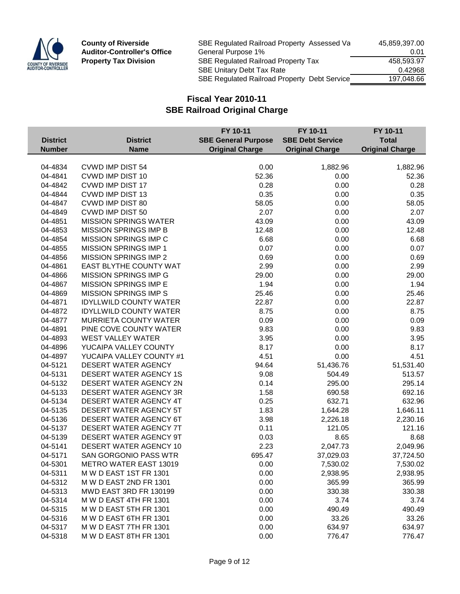

| SBE Regulated Railroad Property Assessed Va         | 45,859,397.00 |
|-----------------------------------------------------|---------------|
| General Purpose 1%                                  | 0.01          |
| SBE Regulated Railroad Property Tax                 | 458.593.97    |
| <b>SBE Unitary Debt Tax Rate</b>                    | 0.42968       |
| <b>SBE Regulated Railroad Property Debt Service</b> | 197.048.66    |
|                                                     |               |

|                 |                               | FY 10-11                   | FY 10-11                | FY 10-11               |
|-----------------|-------------------------------|----------------------------|-------------------------|------------------------|
| <b>District</b> | <b>District</b>               | <b>SBE General Purpose</b> | <b>SBE Debt Service</b> | <b>Total</b>           |
| <b>Number</b>   | <b>Name</b>                   | <b>Original Charge</b>     | <b>Original Charge</b>  | <b>Original Charge</b> |
|                 |                               |                            |                         |                        |
| 04-4834         | <b>CVWD IMP DIST 54</b>       | 0.00                       | 1,882.96                | 1,882.96               |
| 04-4841         | CVWD IMP DIST 10              | 52.36                      | 0.00                    | 52.36                  |
| 04-4842         | <b>CVWD IMP DIST 17</b>       | 0.28                       | 0.00                    | 0.28                   |
| 04-4844         | <b>CVWD IMP DIST 13</b>       | 0.35                       | 0.00                    | 0.35                   |
| 04-4847         | <b>CVWD IMP DIST 80</b>       | 58.05                      | 0.00                    | 58.05                  |
| 04-4849         | <b>CVWD IMP DIST 50</b>       | 2.07                       | 0.00                    | 2.07                   |
| 04-4851         | <b>MISSION SPRINGS WATER</b>  | 43.09                      | 0.00                    | 43.09                  |
| 04-4853         | <b>MISSION SPRINGS IMP B</b>  | 12.48                      | 0.00                    | 12.48                  |
| 04-4854         | <b>MISSION SPRINGS IMP C</b>  | 6.68                       | 0.00                    | 6.68                   |
| 04-4855         | MISSION SPRINGS IMP 1         | 0.07                       | 0.00                    | 0.07                   |
| 04-4856         | <b>MISSION SPRINGS IMP 2</b>  | 0.69                       | 0.00                    | 0.69                   |
| 04-4861         | EAST BLYTHE COUNTY WAT        | 2.99                       | 0.00                    | 2.99                   |
| 04-4866         | <b>MISSION SPRINGS IMP G</b>  | 29.00                      | 0.00                    | 29.00                  |
| 04-4867         | <b>MISSION SPRINGS IMP E</b>  | 1.94                       | 0.00                    | 1.94                   |
| 04-4869         | <b>MISSION SPRINGS IMP S</b>  | 25.46                      | 0.00                    | 25.46                  |
| 04-4871         | <b>IDYLLWILD COUNTY WATER</b> | 22.87                      | 0.00                    | 22.87                  |
| 04-4872         | <b>IDYLLWILD COUNTY WATER</b> | 8.75                       | 0.00                    | 8.75                   |
| 04-4877         | MURRIETA COUNTY WATER         | 0.09                       | 0.00                    | 0.09                   |
| 04-4891         | PINE COVE COUNTY WATER        | 9.83                       | 0.00                    | 9.83                   |
| 04-4893         | <b>WEST VALLEY WATER</b>      | 3.95                       | 0.00                    | 3.95                   |
| 04-4896         | YUCAIPA VALLEY COUNTY         | 8.17                       | 0.00                    | 8.17                   |
| 04-4897         | YUCAIPA VALLEY COUNTY #1      | 4.51                       | 0.00                    | 4.51                   |
| 04-5121         | DESERT WATER AGENCY           | 94.64                      | 51,436.76               | 51,531.40              |
| 04-5131         | <b>DESERT WATER AGENCY 1S</b> | 9.08                       | 504.49                  | 513.57                 |
| 04-5132         | DESERT WATER AGENCY 2N        | 0.14                       | 295.00                  | 295.14                 |
| 04-5133         | DESERT WATER AGENCY 3R        | 1.58                       | 690.58                  | 692.16                 |
| 04-5134         | DESERT WATER AGENCY 4T        | 0.25                       | 632.71                  | 632.96                 |
| 04-5135         | DESERT WATER AGENCY 5T        | 1.83                       | 1,644.28                | 1,646.11               |
| 04-5136         | DESERT WATER AGENCY 6T        | 3.98                       | 2,226.18                | 2,230.16               |
| 04-5137         | DESERT WATER AGENCY 7T        | 0.11                       | 121.05                  | 121.16                 |
| 04-5139         | DESERT WATER AGENCY 9T        | 0.03                       | 8.65                    | 8.68                   |
| 04-5141         | DESERT WATER AGENCY 10        | 2.23                       | 2,047.73                | 2,049.96               |
| 04-5171         | <b>SAN GORGONIO PASS WTR</b>  | 695.47                     | 37,029.03               | 37,724.50              |
| 04-5301         | METRO WATER EAST 13019        | 0.00                       | 7,530.02                | 7,530.02               |
| 04-5311         | M W D EAST 1ST FR 1301        | 0.00                       | 2,938.95                | 2,938.95               |
| 04-5312         | M W D EAST 2ND FR 1301        | 0.00                       | 365.99                  | 365.99                 |
| 04-5313         | MWD EAST 3RD FR 130199        | 0.00                       | 330.38                  | 330.38                 |
| 04-5314         | M W D EAST 4TH FR 1301        | 0.00                       | 3.74                    | 3.74                   |
| 04-5315         | M W D EAST 5TH FR 1301        | 0.00                       | 490.49                  | 490.49                 |
| 04-5316         | M W D EAST 6TH FR 1301        | 0.00                       | 33.26                   | 33.26                  |
| 04-5317         | M W D EAST 7TH FR 1301        | 0.00                       | 634.97                  | 634.97                 |
| 04-5318         | M W D EAST 8TH FR 1301        | 0.00                       | 776.47                  | 776.47                 |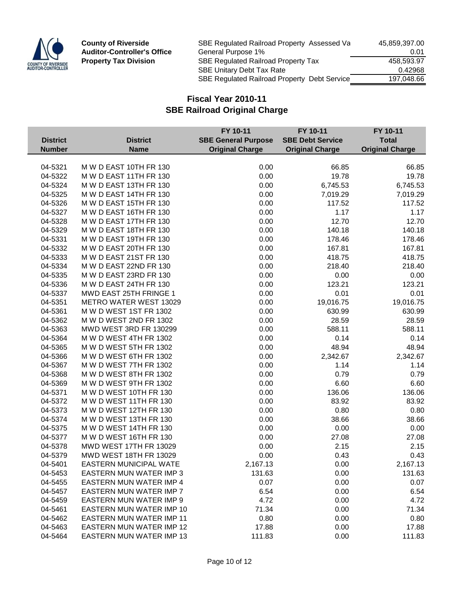

| SBE Regulated Railroad Property Assessed Va         | 45,859,397.00 |
|-----------------------------------------------------|---------------|
| General Purpose 1%                                  | 0.01          |
| SBE Regulated Railroad Property Tax                 | 458.593.97    |
| <b>SBE Unitary Debt Tax Rate</b>                    | 0.42968       |
| <b>SBE Regulated Railroad Property Debt Service</b> | 197.048.66    |
|                                                     |               |

|                 |                                 | FY 10-11                   | FY 10-11                | FY 10-11               |
|-----------------|---------------------------------|----------------------------|-------------------------|------------------------|
| <b>District</b> | <b>District</b>                 | <b>SBE General Purpose</b> | <b>SBE Debt Service</b> | <b>Total</b>           |
| <b>Number</b>   | <b>Name</b>                     | <b>Original Charge</b>     | <b>Original Charge</b>  | <b>Original Charge</b> |
|                 |                                 |                            |                         |                        |
| 04-5321         | M W D EAST 10TH FR 130          | 0.00                       | 66.85                   | 66.85                  |
| 04-5322         | M W D EAST 11TH FR 130          | 0.00                       | 19.78                   | 19.78                  |
| 04-5324         | M W D EAST 13TH FR 130          | 0.00                       | 6,745.53                | 6,745.53               |
| 04-5325         | M W D EAST 14TH FR 130          | 0.00                       | 7,019.29                | 7,019.29               |
| 04-5326         | M W D EAST 15TH FR 130          | 0.00                       | 117.52                  | 117.52                 |
| 04-5327         | M W D EAST 16TH FR 130          | 0.00                       | 1.17                    | 1.17                   |
| 04-5328         | M W D EAST 17TH FR 130          | 0.00                       | 12.70                   | 12.70                  |
| 04-5329         | M W D EAST 18TH FR 130          | 0.00                       | 140.18                  | 140.18                 |
| 04-5331         | M W D EAST 19TH FR 130          | 0.00                       | 178.46                  | 178.46                 |
| 04-5332         | M W D EAST 20TH FR 130          | 0.00                       | 167.81                  | 167.81                 |
| 04-5333         | M W D EAST 21ST FR 130          | 0.00                       | 418.75                  | 418.75                 |
| 04-5334         | M W D EAST 22ND FR 130          | 0.00                       | 218.40                  | 218.40                 |
| 04-5335         | M W D EAST 23RD FR 130          | 0.00                       | 0.00                    | 0.00                   |
| 04-5336         | M W D EAST 24TH FR 130          | 0.00                       | 123.21                  | 123.21                 |
| 04-5337         | MWD EAST 25TH FRINGE 1          | 0.00                       | 0.01                    | 0.01                   |
| 04-5351         | <b>METRO WATER WEST 13029</b>   | 0.00                       | 19,016.75               | 19,016.75              |
| 04-5361         | M W D WEST 1ST FR 1302          | 0.00                       | 630.99                  | 630.99                 |
| 04-5362         | M W D WEST 2ND FR 1302          | 0.00                       | 28.59                   | 28.59                  |
| 04-5363         | MWD WEST 3RD FR 130299          | 0.00                       | 588.11                  | 588.11                 |
| 04-5364         | M W D WEST 4TH FR 1302          | 0.00                       | 0.14                    | 0.14                   |
| 04-5365         | M W D WEST 5TH FR 1302          | 0.00                       | 48.94                   | 48.94                  |
| 04-5366         | M W D WEST 6TH FR 1302          | 0.00                       | 2,342.67                | 2,342.67               |
| 04-5367         | M W D WEST 7TH FR 1302          | 0.00                       | 1.14                    | 1.14                   |
| 04-5368         | M W D WEST 8TH FR 1302          | 0.00                       | 0.79                    | 0.79                   |
| 04-5369         | M W D WEST 9TH FR 1302          | 0.00                       | 6.60                    | 6.60                   |
| 04-5371         | M W D WEST 10TH FR 130          | 0.00                       | 136.06                  | 136.06                 |
| 04-5372         | M W D WEST 11TH FR 130          | 0.00                       | 83.92                   | 83.92                  |
| 04-5373         | M W D WEST 12TH FR 130          | 0.00                       | 0.80                    | 0.80                   |
| 04-5374         | M W D WEST 13TH FR 130          | 0.00                       | 38.66                   | 38.66                  |
| 04-5375         | M W D WEST 14TH FR 130          | 0.00                       | 0.00                    | 0.00                   |
| 04-5377         | M W D WEST 16TH FR 130          | 0.00                       | 27.08                   | 27.08                  |
| 04-5378         | MWD WEST 17TH FR 13029          | 0.00                       | 2.15                    | 2.15                   |
| 04-5379         | MWD WEST 18TH FR 13029          | 0.00                       | 0.43                    | 0.43                   |
| 04-5401         | <b>EASTERN MUNICIPAL WATE</b>   | 2,167.13                   | 0.00                    | 2,167.13               |
| 04-5453         | <b>EASTERN MUN WATER IMP 3</b>  | 131.63                     | 0.00                    | 131.63                 |
| 04-5455         | EASTERN MUN WATER IMP 4         | 0.07                       | 0.00                    | 0.07                   |
| 04-5457         | <b>EASTERN MUN WATER IMP 7</b>  | 6.54                       | 0.00                    | 6.54                   |
| 04-5459         | <b>EASTERN MUN WATER IMP 9</b>  | 4.72                       | 0.00                    | 4.72                   |
| 04-5461         | EASTERN MUN WATER IMP 10        | 71.34                      | 0.00                    | 71.34                  |
| 04-5462         | <b>EASTERN MUN WATER IMP 11</b> | 0.80                       | 0.00                    | 0.80                   |
| 04-5463         | <b>EASTERN MUN WATER IMP 12</b> | 17.88                      | 0.00                    | 17.88                  |
| 04-5464         | <b>EASTERN MUN WATER IMP 13</b> | 111.83                     | 0.00                    | 111.83                 |
|                 |                                 |                            |                         |                        |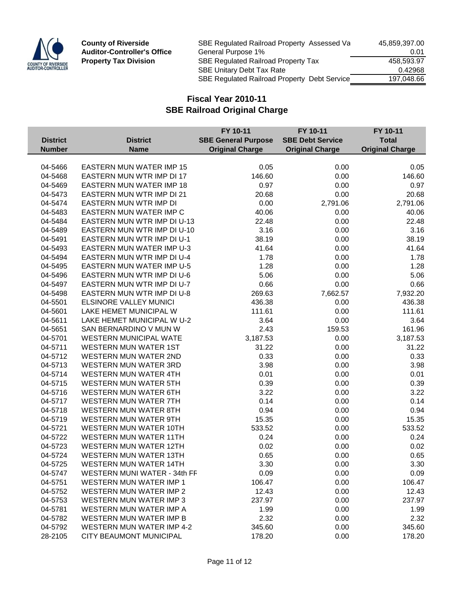

| <b>County of Riverside</b>         | SBE Regulated Railroad Property Assessed Va  | 45,859,397.00 |
|------------------------------------|----------------------------------------------|---------------|
| <b>Auditor-Controller's Office</b> | General Purpose 1%                           | 0.01          |
| <b>Property Tax Division</b>       | <b>SBE Regulated Railroad Property Tax</b>   | 458.593.97    |
|                                    | <b>SBE Unitary Debt Tax Rate</b>             | 0.42968       |
|                                    | SBE Regulated Railroad Property Debt Service | 197,048.66    |
|                                    |                                              |               |

|                 |                                     | FY 10-11                   | FY 10-11                | FY 10-11               |
|-----------------|-------------------------------------|----------------------------|-------------------------|------------------------|
| <b>District</b> | <b>District</b>                     | <b>SBE General Purpose</b> | <b>SBE Debt Service</b> | <b>Total</b>           |
| <b>Number</b>   | <b>Name</b>                         | <b>Original Charge</b>     | <b>Original Charge</b>  | <b>Original Charge</b> |
|                 |                                     |                            |                         |                        |
| 04-5466         | <b>EASTERN MUN WATER IMP 15</b>     | 0.05                       | 0.00                    | 0.05                   |
| 04-5468         | EASTERN MUN WTR IMP DI 17           | 146.60                     | 0.00                    | 146.60                 |
| 04-5469         | <b>EASTERN MUN WATER IMP 18</b>     | 0.97                       | 0.00                    | 0.97                   |
| 04-5473         | <b>EASTERN MUN WTR IMP DI 21</b>    | 20.68                      | 0.00                    | 20.68                  |
| 04-5474         | EASTERN MUN WTR IMP DI              | 0.00                       | 2,791.06                | 2,791.06               |
| 04-5483         | EASTERN MUN WATER IMP C             | 40.06                      | 0.00                    | 40.06                  |
| 04-5484         | EASTERN MUN WTR IMP DI U-13         | 22.48                      | 0.00                    | 22.48                  |
| 04-5489         | EASTERN MUN WTR IMP DI U-10         | 3.16                       | 0.00                    | 3.16                   |
| 04-5491         | EASTERN MUN WTR IMP DI U-1          | 38.19                      | 0.00                    | 38.19                  |
| 04-5493         | <b>EASTERN MUN WATER IMP U-3</b>    | 41.64                      | 0.00                    | 41.64                  |
| 04-5494         | EASTERN MUN WTR IMP DI U-4          | 1.78                       | 0.00                    | 1.78                   |
| 04-5495         | <b>EASTERN MUN WATER IMP U-5</b>    | 1.28                       | 0.00                    | 1.28                   |
| 04-5496         | EASTERN MUN WTR IMP DI U-6          | 5.06                       | 0.00                    | 5.06                   |
| 04-5497         | EASTERN MUN WTR IMP DI U-7          | 0.66                       | 0.00                    | 0.66                   |
| 04-5498         | EASTERN MUN WTR IMP DI U-8          | 269.63                     | 7,662.57                | 7,932.20               |
| 04-5501         | <b>ELSINORE VALLEY MUNICI</b>       | 436.38                     | 0.00                    | 436.38                 |
| 04-5601         | LAKE HEMET MUNICIPAL W              | 111.61                     | 0.00                    | 111.61                 |
| 04-5611         | LAKE HEMET MUNICIPAL W U-2          | 3.64                       | 0.00                    | 3.64                   |
| 04-5651         | SAN BERNARDINO V MUN W              | 2.43                       | 159.53                  | 161.96                 |
| 04-5701         | <b>WESTERN MUNICIPAL WATE</b>       | 3,187.53                   | 0.00                    | 3,187.53               |
| 04-5711         | <b>WESTERN MUN WATER 1ST</b>        | 31.22                      | 0.00                    | 31.22                  |
| 04-5712         | <b>WESTERN MUN WATER 2ND</b>        | 0.33                       | 0.00                    | 0.33                   |
| 04-5713         | <b>WESTERN MUN WATER 3RD</b>        | 3.98                       | 0.00                    | 3.98                   |
| 04-5714         | <b>WESTERN MUN WATER 4TH</b>        | 0.01                       | 0.00                    | 0.01                   |
| 04-5715         | <b>WESTERN MUN WATER 5TH</b>        | 0.39                       | 0.00                    | 0.39                   |
| 04-5716         | <b>WESTERN MUN WATER 6TH</b>        | 3.22                       | 0.00                    | 3.22                   |
| 04-5717         | <b>WESTERN MUN WATER 7TH</b>        | 0.14                       | 0.00                    | 0.14                   |
| 04-5718         | <b>WESTERN MUN WATER 8TH</b>        | 0.94                       | 0.00                    | 0.94                   |
| 04-5719         | WESTERN MUN WATER 9TH               | 15.35                      | 0.00                    | 15.35                  |
| 04-5721         | <b>WESTERN MUN WATER 10TH</b>       | 533.52                     | 0.00                    | 533.52                 |
| 04-5722         | <b>WESTERN MUN WATER 11TH</b>       | 0.24                       | 0.00                    | 0.24                   |
| 04-5723         | <b>WESTERN MUN WATER 12TH</b>       | 0.02                       | 0.00                    | 0.02                   |
| 04-5724         | <b>WESTERN MUN WATER 13TH</b>       | 0.65                       | 0.00                    | 0.65                   |
| 04-5725         | WESTERN MUN WATER 14TH              | 3.30                       | 0.00                    | 3.30                   |
|                 | <b>WESTERN MUNI WATER - 34th FF</b> |                            |                         |                        |
| 04-5747         |                                     | 0.09                       | 0.00                    | 0.09                   |
| 04-5751         | <b>WESTERN MUN WATER IMP 1</b>      | 106.47                     | 0.00                    | 106.47                 |
| 04-5752         | <b>WESTERN MUN WATER IMP 2</b>      | 12.43                      | 0.00                    | 12.43                  |
| 04-5753         | <b>WESTERN MUN WATER IMP 3</b>      | 237.97                     | 0.00                    | 237.97                 |
| 04-5781         | WESTERN MUN WATER IMP A             | 1.99                       | 0.00                    | 1.99                   |
| 04-5782         | WESTERN MUN WATER IMP B             | 2.32                       | 0.00                    | 2.32                   |
| 04-5792         | <b>WESTERN MUN WATER IMP 4-2</b>    | 345.60                     | 0.00                    | 345.60                 |
| 28-2105         | CITY BEAUMONT MUNICIPAL             | 178.20                     | 0.00                    | 178.20                 |